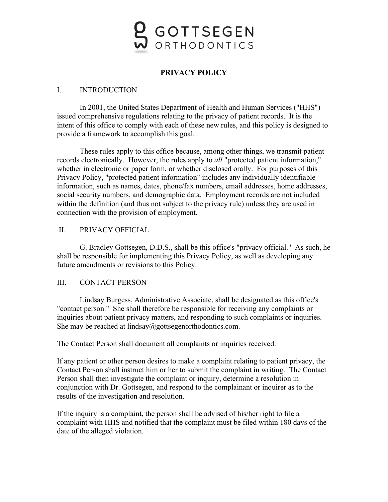# GOTTSEGEN ORTHODONTICS

## **PRIVACY POLICY**

## I. INTRODUCTION

In 2001, the United States Department of Health and Human Services ("HHS") issued comprehensive regulations relating to the privacy of patient records. It is the intent of this office to comply with each of these new rules, and this policy is designed to provide a framework to accomplish this goal.

These rules apply to this office because, among other things, we transmit patient records electronically. However, the rules apply to *all* "protected patient information," whether in electronic or paper form, or whether disclosed orally. For purposes of this Privacy Policy, "protected patient information" includes any individually identifiable information, such as names, dates, phone/fax numbers, email addresses, home addresses, social security numbers, and demographic data. Employment records are not included within the definition (and thus not subject to the privacy rule) unless they are used in connection with the provision of employment.

## II. PRIVACY OFFICIAL

G. Bradley Gottsegen, D.D.S., shall be this office's "privacy official." As such, he shall be responsible for implementing this Privacy Policy, as well as developing any future amendments or revisions to this Policy.

## III. CONTACT PERSON

Lindsay Burgess, Administrative Associate, shall be designated as this office's "contact person." She shall therefore be responsible for receiving any complaints or inquiries about patient privacy matters, and responding to such complaints or inquiries. She may be reached at lindsay@gottsegenorthodontics.com.

The Contact Person shall document all complaints or inquiries received.

If any patient or other person desires to make a complaint relating to patient privacy, the Contact Person shall instruct him or her to submit the complaint in writing. The Contact Person shall then investigate the complaint or inquiry, determine a resolution in conjunction with Dr. Gottsegen, and respond to the complainant or inquirer as to the results of the investigation and resolution.

If the inquiry is a complaint, the person shall be advised of his/her right to file a complaint with HHS and notified that the complaint must be filed within 180 days of the date of the alleged violation.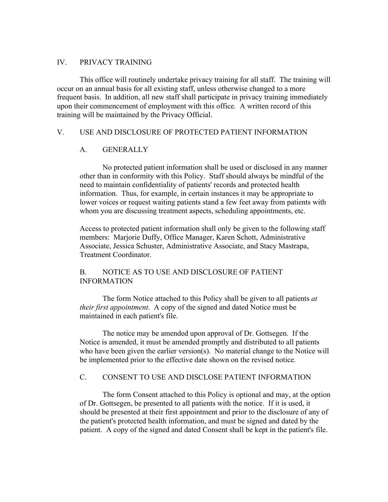## IV. PRIVACY TRAINING

This office will routinely undertake privacy training for all staff. The training will occur on an annual basis for all existing staff, unless otherwise changed to a more frequent basis. In addition, all new staff shall participate in privacy training immediately upon their commencement of employment with this office. A written record of this training will be maintained by the Privacy Official.

## V. USE AND DISCLOSURE OF PROTECTED PATIENT INFORMATION

## A. GENERALLY

No protected patient information shall be used or disclosed in any manner other than in conformity with this Policy. Staff should always be mindful of the need to maintain confidentiality of patients' records and protected health information. Thus, for example, in certain instances it may be appropriate to lower voices or request waiting patients stand a few feet away from patients with whom you are discussing treatment aspects, scheduling appointments, etc.

Access to protected patient information shall only be given to the following staff members: Marjorie Duffy, Office Manager, Karen Schott, Administrative Associate, Jessica Schuster, Administrative Associate, and Stacy Mastrapa, Treatment Coordinator.

## B. NOTICE AS TO USE AND DISCLOSURE OF PATIENT INFORMATION

The form Notice attached to this Policy shall be given to all patients *at their first appointment*. A copy of the signed and dated Notice must be maintained in each patient's file.

The notice may be amended upon approval of Dr. Gottsegen. If the Notice is amended, it must be amended promptly and distributed to all patients who have been given the earlier version(s). No material change to the Notice will be implemented prior to the effective date shown on the revised notice.

## C. CONSENT TO USE AND DISCLOSE PATIENT INFORMATION

The form Consent attached to this Policy is optional and may, at the option of Dr. Gottsegen, be presented to all patients with the notice. If it is used, it should be presented at their first appointment and prior to the disclosure of any of the patient's protected health information, and must be signed and dated by the patient. A copy of the signed and dated Consent shall be kept in the patient's file.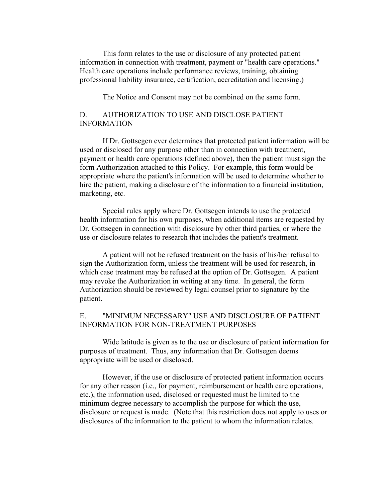This form relates to the use or disclosure of any protected patient information in connection with treatment, payment or "health care operations." Health care operations include performance reviews, training, obtaining professional liability insurance, certification, accreditation and licensing.)

The Notice and Consent may not be combined on the same form.

## D. AUTHORIZATION TO USE AND DISCLOSE PATIENT INFORMATION

If Dr. Gottsegen ever determines that protected patient information will be used or disclosed for any purpose other than in connection with treatment, payment or health care operations (defined above), then the patient must sign the form Authorization attached to this Policy. For example, this form would be appropriate where the patient's information will be used to determine whether to hire the patient, making a disclosure of the information to a financial institution, marketing, etc.

Special rules apply where Dr. Gottsegen intends to use the protected health information for his own purposes, when additional items are requested by Dr. Gottsegen in connection with disclosure by other third parties, or where the use or disclosure relates to research that includes the patient's treatment.

A patient will not be refused treatment on the basis of his/her refusal to sign the Authorization form, unless the treatment will be used for research, in which case treatment may be refused at the option of Dr. Gottsegen. A patient may revoke the Authorization in writing at any time. In general, the form Authorization should be reviewed by legal counsel prior to signature by the patient.

## E. "MINIMUM NECESSARY" USE AND DISCLOSURE OF PATIENT INFORMATION FOR NON-TREATMENT PURPOSES

Wide latitude is given as to the use or disclosure of patient information for purposes of treatment. Thus, any information that Dr. Gottsegen deems appropriate will be used or disclosed.

However, if the use or disclosure of protected patient information occurs for any other reason (i.e., for payment, reimbursement or health care operations, etc.), the information used, disclosed or requested must be limited to the minimum degree necessary to accomplish the purpose for which the use, disclosure or request is made. (Note that this restriction does not apply to uses or disclosures of the information to the patient to whom the information relates.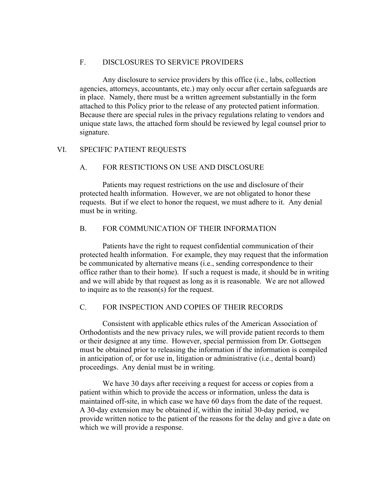#### F. DISCLOSURES TO SERVICE PROVIDERS

Any disclosure to service providers by this office (i.e., labs, collection agencies, attorneys, accountants, etc.) may only occur after certain safeguards are in place. Namely, there must be a written agreement substantially in the form attached to this Policy prior to the release of any protected patient information. Because there are special rules in the privacy regulations relating to vendors and unique state laws, the attached form should be reviewed by legal counsel prior to signature.

## VI. SPECIFIC PATIENT REQUESTS

## A. FOR RESTICTIONS ON USE AND DISCLOSURE

Patients may request restrictions on the use and disclosure of their protected health information. However, we are not obligated to honor these requests. But if we elect to honor the request, we must adhere to it. Any denial must be in writing.

## B. FOR COMMUNICATION OF THEIR INFORMATION

Patients have the right to request confidential communication of their protected health information. For example, they may request that the information be communicated by alternative means (i.e., sending correspondence to their office rather than to their home). If such a request is made, it should be in writing and we will abide by that request as long as it is reasonable. We are not allowed to inquire as to the reason(s) for the request.

## C. FOR INSPECTION AND COPIES OF THEIR RECORDS

Consistent with applicable ethics rules of the American Association of Orthodontists and the new privacy rules, we will provide patient records to them or their designee at any time. However, special permission from Dr. Gottsegen must be obtained prior to releasing the information if the information is compiled in anticipation of, or for use in, litigation or administrative (i.e., dental board) proceedings. Any denial must be in writing.

We have 30 days after receiving a request for access or copies from a patient within which to provide the access or information, unless the data is maintained off-site, in which case we have 60 days from the date of the request. A 30-day extension may be obtained if, within the initial 30-day period, we provide written notice to the patient of the reasons for the delay and give a date on which we will provide a response.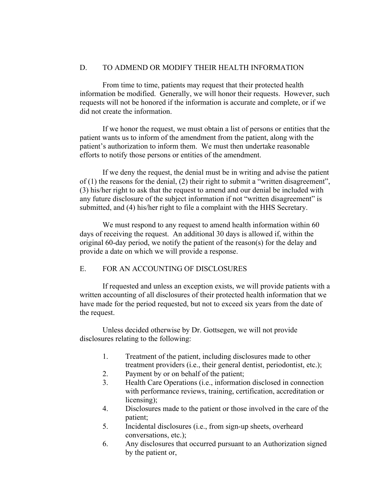## D. TO ADMEND OR MODIFY THEIR HEALTH INFORMATION

From time to time, patients may request that their protected health information be modified. Generally, we will honor their requests. However, such requests will not be honored if the information is accurate and complete, or if we did not create the information.

If we honor the request, we must obtain a list of persons or entities that the patient wants us to inform of the amendment from the patient, along with the patient's authorization to inform them. We must then undertake reasonable efforts to notify those persons or entities of the amendment.

If we deny the request, the denial must be in writing and advise the patient of (1) the reasons for the denial, (2) their right to submit a "written disagreement", (3) his/her right to ask that the request to amend and our denial be included with any future disclosure of the subject information if not "written disagreement" is submitted, and (4) his/her right to file a complaint with the HHS Secretary.

We must respond to any request to amend health information within 60 days of receiving the request. An additional 30 days is allowed if, within the original 60-day period, we notify the patient of the reason(s) for the delay and provide a date on which we will provide a response.

## E. FOR AN ACCOUNTING OF DISCLOSURES

If requested and unless an exception exists, we will provide patients with a written accounting of all disclosures of their protected health information that we have made for the period requested, but not to exceed six years from the date of the request.

Unless decided otherwise by Dr. Gottsegen, we will not provide disclosures relating to the following:

- 1. Treatment of the patient, including disclosures made to other treatment providers (i.e., their general dentist, periodontist, etc.);
- 2. Payment by or on behalf of the patient;
- 3. Health Care Operations (i.e., information disclosed in connection with performance reviews, training, certification, accreditation or licensing);
- 4. Disclosures made to the patient or those involved in the care of the patient;
- 5. Incidental disclosures (i.e., from sign-up sheets, overheard conversations, etc.);
- 6. Any disclosures that occurred pursuant to an Authorization signed by the patient or,